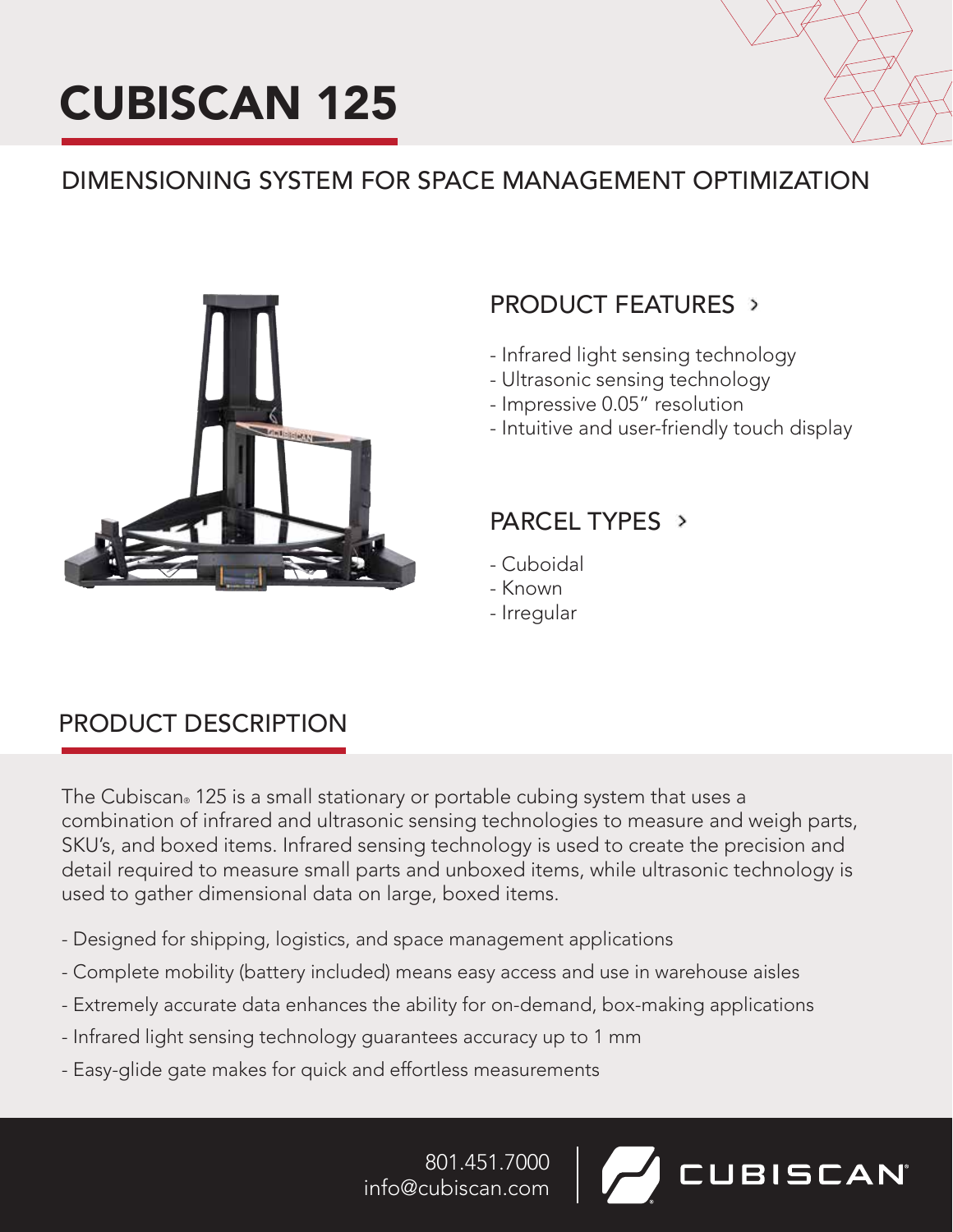



# DIMENSIONING SYSTEM FOR SPACE MANAGEMENT OPTIMIZATION



# PRODUCT FEATURES >

- Infrared light sensing technology
- Ultrasonic sensing technology
- Impressive 0.05" resolution
- Intuitive and user-friendly touch display

# PARCEL TYPES >

- Cuboidal
- Known
- Irregular

# PRODUCT DESCRIPTION

The Cubiscan® 125 is a small stationary or portable cubing system that uses a combination of infrared and ultrasonic sensing technologies to measure and weigh parts, SKU's, and boxed items. Infrared sensing technology is used to create the precision and detail required to measure small parts and unboxed items, while ultrasonic technology is used to gather dimensional data on large, boxed items.

- Designed for shipping, logistics, and space management applications
- Complete mobility (battery included) means easy access and use in warehouse aisles
- Extremely accurate data enhances the ability for on-demand, box-making applications
- Infrared light sensing technology guarantees accuracy up to 1 mm
- Easy-glide gate makes for quick and effortless measurements

801.451.7000 **UBISCAN** info@cubiscan.com